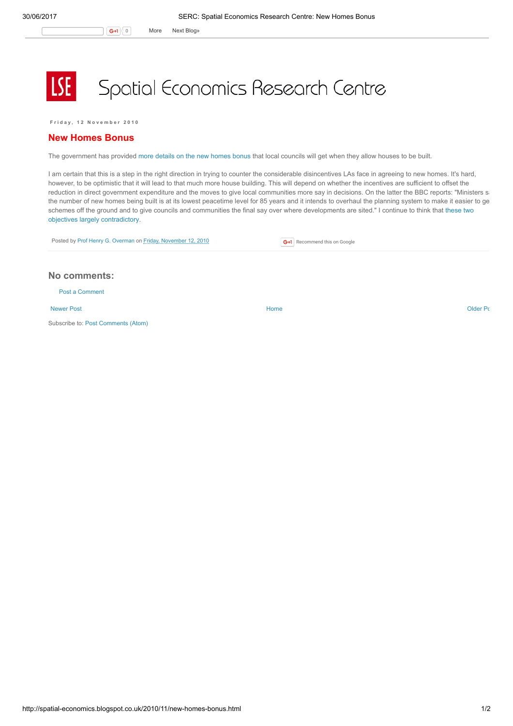**LSE** 

## Spatial Economics Research Centre

Friday, 12 November 2010

## New Homes Bonus

The government has provided more details on the new [homes](http://www.bbc.co.uk/news/uk-politics-11739466) bonus that local councils will get when they allow houses to be built.

I am certain that this is a step in the right direction in trying to counter the considerable disincentives LAs face in agreeing to new homes. It's hard, however, to be optimistic that it will lead to that much more house building. This will depend on whether the incentives are sufficient to offset the reduction in direct government expenditure and the moves to give local communities more say in decisions. On the latter the BBC reports: "Ministers s the number of new homes being built is at its lowest peacetime level for 85 years and it intends to overhaul the planning system to make it easier to ge schemes off the ground and to give councils and communities the final say over where [developments](http://spatial-economics.blogspot.com/2010/08/new-home-bonus.html) are sited." I continue to think that these two objectives largely contradictory.

| Posted by Prof Henry G. Overman on Friday, November 12, 2010 | G+1 Recommend this on Google |
|--------------------------------------------------------------|------------------------------|
|--------------------------------------------------------------|------------------------------|

## No comments:

Post a [Comment](https://www.blogger.com/comment.g?blogID=974562301377041914&postID=4449069101552296225)

[Newer](http://spatial-economics.blogspot.co.uk/2010/11/local-procurement-for-local-authorities.html) Post and the contract of the contract of the contract [Home](http://spatial-economics.blogspot.co.uk/) contract of the contract of the contract of the contract of the contract of the contract of the contract of the contract of the contract of the contract of t

Subscribe to: Post [Comments](http://spatial-economics.blogspot.com/feeds/4449069101552296225/comments/default) (Atom)